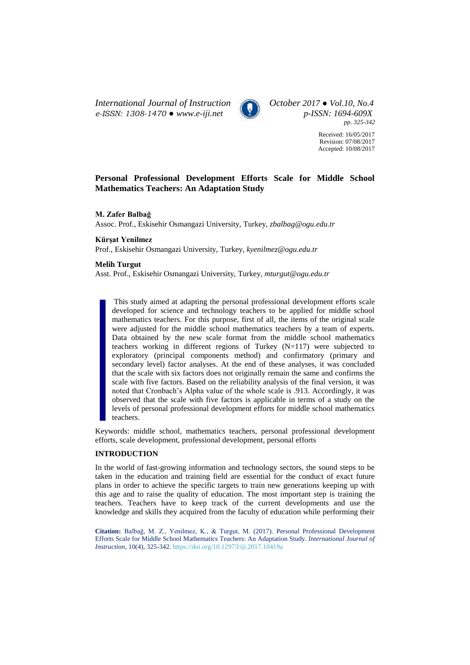*International Journal of Instruction October 2017 ● Vol.10, No.4 e-ISSN: 1308-1470 ● [www.e-iji.net](http://www.e-iji.net/) p-ISSN: 1694-609X*



*pp. 325-342*

Received: 16/05/2017 Revision: 07/08/2017 Accepted: 10/08/2017

# **Personal Professional Development Efforts Scale for Middle School Mathematics Teachers: An Adaptation Study**

## **M. Zafer Balbağ**

Assoc. Prof., Eskisehir Osmangazi University, Turkey, *zbalbag@ogu.edu.tr*

# **Kürşat Yenilmez**

Prof., Eskisehir Osmangazi University, Turkey, *kyenilmez@ogu.edu.tr*

## **Melih Turgut**

Asst. Prof., Eskisehir Osmangazi University, Turkey, *mturgut@ogu.edu.tr*

This study aimed at adapting the personal professional development efforts scale developed for science and technology teachers to be applied for middle school mathematics teachers. For this purpose, first of all, the items of the original scale were adjusted for the middle school mathematics teachers by a team of experts. Data obtained by the new scale format from the middle school mathematics teachers working in different regions of Turkey (N=117) were subjected to exploratory (principal components method) and confirmatory (primary and secondary level) factor analyses. At the end of these analyses, it was concluded that the scale with six factors does not originally remain the same and confirms the scale with five factors. Based on the reliability analysis of the final version, it was noted that Cronbach's Alpha value of the whole scale is .913. Accordingly, it was observed that the scale with five factors is applicable in terms of a study on the levels of personal professional development efforts for middle school mathematics teachers.

Keywords: middle school, mathematics teachers, personal professional development efforts, scale development, professional development, personal efforts

## **INTRODUCTION**

In the world of fast-growing information and technology sectors, the sound steps to be taken in the education and training field are essential for the conduct of exact future plans in order to achieve the specific targets to train new generations keeping up with this age and to raise the quality of education. The most important step is training the teachers. Teachers have to keep track of the current developments and use the knowledge and skills they acquired from the faculty of education while performing their

**Citation:** Balbağ, M. Z., Yenilmez, K., & Turgut, M. (2017). Personal Professional Development Efforts Scale for Middle School Mathematics Teachers: An Adaptation Study. *International Journal of Instruction*, 10(4), 325-342. <https://doi.org/10.12973/iji.2017.10419a>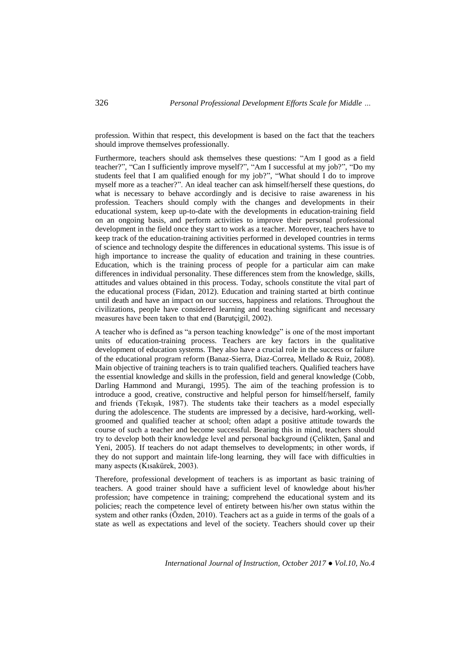profession. Within that respect, this development is based on the fact that the teachers should improve themselves professionally.

Furthermore, teachers should ask themselves these questions: "Am I good as a field teacher?", "Can I sufficiently improve myself?", "Am I successful at my job?", "Do my students feel that I am qualified enough for my job?", "What should I do to improve myself more as a teacher?". An ideal teacher can ask himself/herself these questions, do what is necessary to behave accordingly and is decisive to raise awareness in his profession. Teachers should comply with the changes and developments in their educational system, keep up-to-date with the developments in education-training field on an ongoing basis, and perform activities to improve their personal professional development in the field once they start to work as a teacher. Moreover, teachers have to keep track of the education-training activities performed in developed countries in terms of science and technology despite the differences in educational systems. This issue is of high importance to increase the quality of education and training in these countries. Education, which is the training process of people for a particular aim can make differences in individual personality. These differences stem from the knowledge, skills, attitudes and values obtained in this process. Today, schools constitute the vital part of the educational process (Fidan, 2012). Education and training started at birth continue until death and have an impact on our success, happiness and relations. Throughout the civilizations, people have considered learning and teaching significant and necessary measures have been taken to that end (Barutçigil, 2002).

A teacher who is defined as "a person teaching knowledge" is one of the most important units of education-training process. Teachers are key factors in the qualitative development of education systems. They also have a crucial role in the success or failure of the educational program reform (Banaz-Sierra, Diaz-Correa, Mellado & Ruiz, 2008). Main objective of training teachers is to train qualified teachers. Qualified teachers have the essential knowledge and skills in the profession, field and general knowledge (Cobb, Darling Hammond and Murangi, 1995). The aim of the teaching profession is to introduce a good, creative, constructive and helpful person for himself/herself, family and friends (Tekışık, 1987). The students take their teachers as a model especially during the adolescence. The students are impressed by a decisive, hard-working, wellgroomed and qualified teacher at school; often adapt a positive attitude towards the course of such a teacher and become successful. Bearing this in mind, teachers should try to develop both their knowledge level and personal background (Çelikten, Şanal and Yeni, 2005). If teachers do not adapt themselves to developments; in other words, if they do not support and maintain life-long learning, they will face with difficulties in many aspects (Kısakürek, 2003).

Therefore, professional development of teachers is as important as basic training of teachers. A good trainer should have a sufficient level of knowledge about his/her profession; have competence in training; comprehend the educational system and its policies; reach the competence level of entirety between his/her own status within the system and other ranks (Özden, 2010). Teachers act as a guide in terms of the goals of a state as well as expectations and level of the society. Teachers should cover up their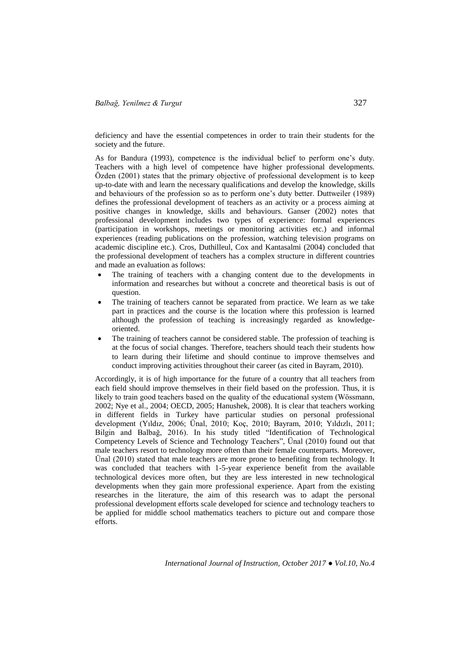deficiency and have the essential competences in order to train their students for the society and the future.

As for Bandura (1993), competence is the individual belief to perform one's duty. Teachers with a high level of competence have higher professional developments. Özden (2001) states that the primary objective of professional development is to keep up-to-date with and learn the necessary qualifications and develop the knowledge, skills and behaviours of the profession so as to perform one's duty better. Duttweiler (1989) defines the professional development of teachers as an activity or a process aiming at positive changes in knowledge, skills and behaviours. Ganser (2002) notes that professional development includes two types of experience: formal experiences (participation in workshops, meetings or monitoring activities etc.) and informal experiences (reading publications on the profession, watching television programs on academic discipline etc.). Cros, Duthilleul, Cox and Kantasalmi (2004) concluded that the professional development of teachers has a complex structure in different countries and made an evaluation as follows:

- The training of teachers with a changing content due to the developments in information and researches but without a concrete and theoretical basis is out of question.
- The training of teachers cannot be separated from practice. We learn as we take part in practices and the course is the location where this profession is learned although the profession of teaching is increasingly regarded as knowledgeoriented.
- The training of teachers cannot be considered stable. The profession of teaching is at the focus of social changes. Therefore, teachers should teach their students how to learn during their lifetime and should continue to improve themselves and conduct improving activities throughout their career (as cited in Bayram, 2010).

Accordingly, it is of high importance for the future of a country that all teachers from each field should improve themselves in their field based on the profession. Thus, it is likely to train good teachers based on the quality of the educational system (Wössmann, 2002; Nye et al., 2004; OECD, 2005; Hanushek, 2008). It is clear that teachers working in different fields in Turkey have particular studies on personal professional development (Yıldız, 2006; Ünal, 2010; Koç, 2010; Bayram, 2010; Yıldızlı, 2011; Bilgin and Balbağ, 2016). In his study titled "Identification of Technological Competency Levels of Science and Technology Teachers", Ünal (2010) found out that male teachers resort to technology more often than their female counterparts. Moreover, Ünal (2010) stated that male teachers are more prone to benefiting from technology. It was concluded that teachers with 1-5-year experience benefit from the available technological devices more often, but they are less interested in new technological developments when they gain more professional experience. Apart from the existing researches in the literature, the aim of this research was to adapt the personal professional development efforts scale developed for science and technology teachers to be applied for middle school mathematics teachers to picture out and compare those efforts.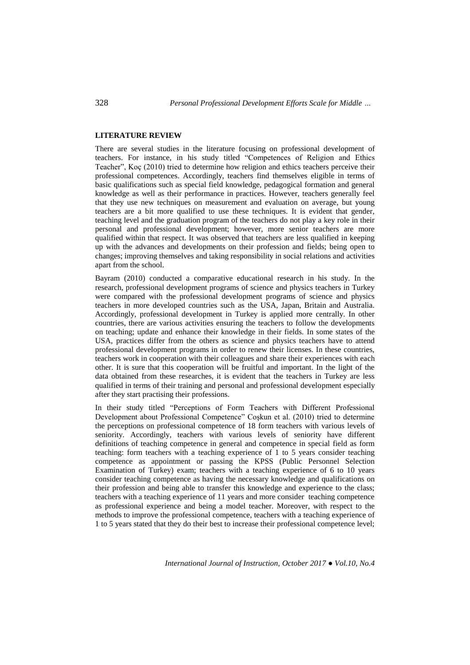## **LITERATURE REVIEW**

There are several studies in the literature focusing on professional development of teachers. For instance, in his study titled "Competences of Religion and Ethics Teacher", Koç (2010) tried to determine how religion and ethics teachers perceive their professional competences. Accordingly, teachers find themselves eligible in terms of basic qualifications such as special field knowledge, pedagogical formation and general knowledge as well as their performance in practices. However, teachers generally feel that they use new techniques on measurement and evaluation on average, but young teachers are a bit more qualified to use these techniques. It is evident that gender, teaching level and the graduation program of the teachers do not play a key role in their personal and professional development; however, more senior teachers are more qualified within that respect. It was observed that teachers are less qualified in keeping up with the advances and developments on their profession and fields; being open to changes; improving themselves and taking responsibility in social relations and activities apart from the school.

Bayram (2010) conducted a comparative educational research in his study. In the research, professional development programs of science and physics teachers in Turkey were compared with the professional development programs of science and physics teachers in more developed countries such as the USA, Japan, Britain and Australia. Accordingly, professional development in Turkey is applied more centrally. In other countries, there are various activities ensuring the teachers to follow the developments on teaching; update and enhance their knowledge in their fields. In some states of the USA, practices differ from the others as science and physics teachers have to attend professional development programs in order to renew their licenses. In these countries, teachers work in cooperation with their colleagues and share their experiences with each other. It is sure that this cooperation will be fruitful and important. In the light of the data obtained from these researches, it is evident that the teachers in Turkey are less qualified in terms of their training and personal and professional development especially after they start practising their professions.

In their study titled "Perceptions of Form Teachers with Different Professional Development about Professional Competence" Coşkun et al. (2010) tried to determine the perceptions on professional competence of 18 form teachers with various levels of seniority. Accordingly, teachers with various levels of seniority have different definitions of teaching competence in general and competence in special field as form teaching: form teachers with a teaching experience of 1 to 5 years consider teaching competence as appointment or passing the KPSS (Public Personnel Selection Examination of Turkey) exam; teachers with a teaching experience of 6 to 10 years consider teaching competence as having the necessary knowledge and qualifications on their profession and being able to transfer this knowledge and experience to the class; teachers with a teaching experience of 11 years and more consider teaching competence as professional experience and being a model teacher. Moreover, with respect to the methods to improve the professional competence, teachers with a teaching experience of 1 to 5 years stated that they do their best to increase their professional competence level;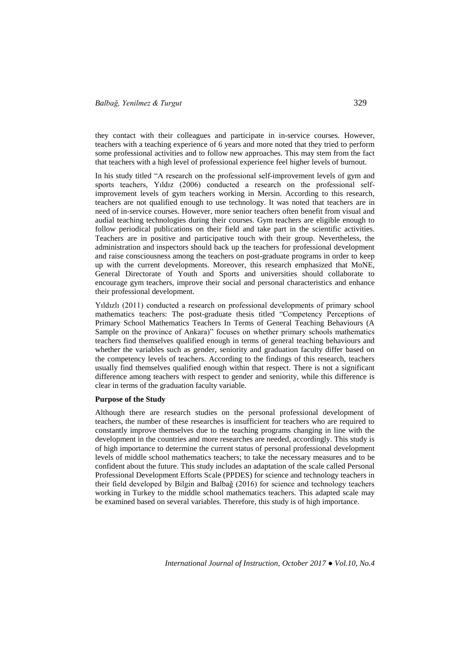they contact with their colleagues and participate in in-service courses. However, teachers with a teaching experience of 6 years and more noted that they tried to perform some professional activities and to follow new approaches. This may stem from the fact that teachers with a high level of professional experience feel higher levels of burnout.

In his study titled "A research on the professional self-improvement levels of gym and sports teachers, Yıldız (2006) conducted a research on the professional selfimprovement levels of gym teachers working in Mersin. According to this research, teachers are not qualified enough to use technology. It was noted that teachers are in need of in-service courses. However, more senior teachers often benefit from visual and audial teaching technologies during their courses. Gym teachers are eligible enough to follow periodical publications on their field and take part in the scientific activities. Teachers are in positive and participative touch with their group. Nevertheless, the administration and inspectors should back up the teachers for professional development and raise consciousness among the teachers on post-graduate programs in order to keep up with the current developments. Moreover, this research emphasized that MoNE, General Directorate of Youth and Sports and universities should collaborate to encourage gym teachers, improve their social and personal characteristics and enhance their professional development.

Yıldızlı (2011) conducted a research on professional developments of primary school mathematics teachers: The post-graduate thesis titled "Competency Perceptions of Primary School Mathematics Teachers In Terms of General Teaching Behaviours (A Sample on the province of Ankara)" focuses on whether primary schools mathematics teachers find themselves qualified enough in terms of general teaching behaviours and whether the variables such as gender, seniority and graduation faculty differ based on the competency levels of teachers. According to the findings of this research, teachers usually find themselves qualified enough within that respect. There is not a significant difference among teachers with respect to gender and seniority, while this difference is clear in terms of the graduation faculty variable.

### **Purpose of the Study**

Although there are research studies on the personal professional development of teachers, the number of these researches is insufficient for teachers who are required to constantly improve themselves due to the teaching programs changing in line with the development in the countries and more researches are needed, accordingly. This study is of high importance to determine the current status of personal professional development levels of middle school mathematics teachers; to take the necessary measures and to be confident about the future. This study includes an adaptation of the scale called Personal Professional Development Efforts Scale (PPDES) for science and technology teachers in their field developed by Bilgin and Balbağ (2016) for science and technology teachers working in Turkey to the middle school mathematics teachers. This adapted scale may be examined based on several variables. Therefore, this study is of high importance.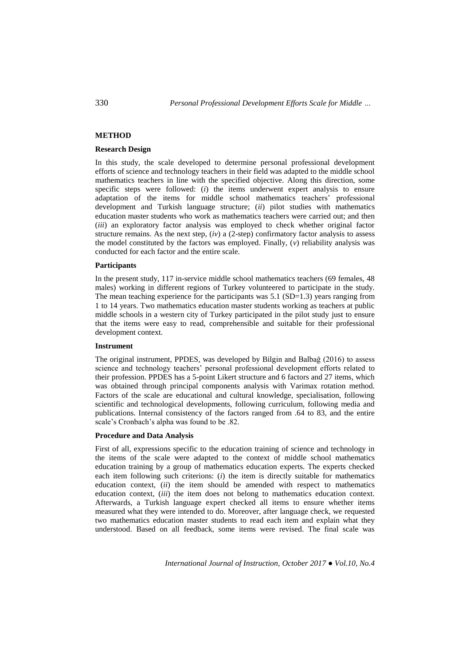# **METHOD**

### **Research Design**

In this study, the scale developed to determine personal professional development efforts of science and technology teachers in their field was adapted to the middle school mathematics teachers in line with the specified objective. Along this direction, some specific steps were followed: (*i*) the items underwent expert analysis to ensure adaptation of the items for middle school mathematics teachers' professional development and Turkish language structure; (*ii*) pilot studies with mathematics education master students who work as mathematics teachers were carried out; and then (*iii*) an exploratory factor analysis was employed to check whether original factor structure remains. As the next step,  $(iv)$  a  $(2$ -step) confirmatory factor analysis to assess the model constituted by the factors was employed. Finally, (*v*) reliability analysis was conducted for each factor and the entire scale.

### **Participants**

In the present study, 117 in-service middle school mathematics teachers (69 females, 48 males) working in different regions of Turkey volunteered to participate in the study. The mean teaching experience for the participants was 5.1 (SD=1.3) years ranging from 1 to 14 years. Two mathematics education master students working as teachers at public middle schools in a western city of Turkey participated in the pilot study just to ensure that the items were easy to read, comprehensible and suitable for their professional development context.

### **Instrument**

The original instrument, PPDES, was developed by Bilgin and Balbağ (2016) to assess science and technology teachers' personal professional development efforts related to their profession. PPDES has a 5-point Likert structure and 6 factors and 27 items, which was obtained through principal components analysis with Varimax rotation method. Factors of the scale are educational and cultural knowledge, specialisation, following scientific and technological developments, following curriculum, following media and publications. Internal consistency of the factors ranged from .64 to 83, and the entire scale's Cronbach's alpha was found to be .82.

## **Procedure and Data Analysis**

First of all, expressions specific to the education training of science and technology in the items of the scale were adapted to the context of middle school mathematics education training by a group of mathematics education experts. The experts checked each item following such criterions: (*i*) the item is directly suitable for mathematics education context, (*ii*) the item should be amended with respect to mathematics education context, (*iii*) the item does not belong to mathematics education context. Afterwards, a Turkish language expert checked all items to ensure whether items measured what they were intended to do. Moreover, after language check, we requested two mathematics education master students to read each item and explain what they understood. Based on all feedback, some items were revised. The final scale was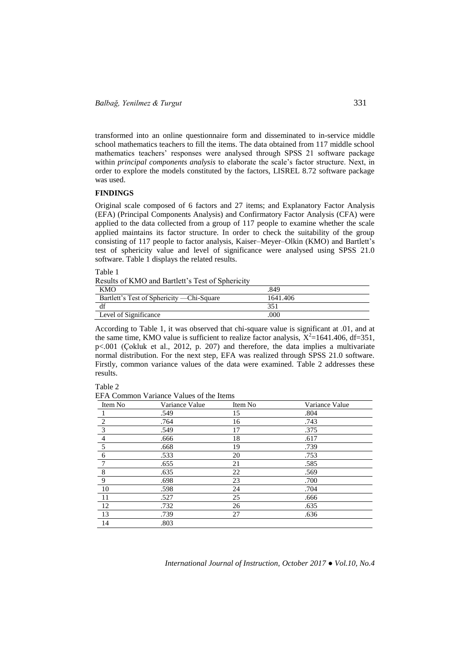transformed into an online questionnaire form and disseminated to in-service middle school mathematics teachers to fill the items. The data obtained from 117 middle school mathematics teachers' responses were analysed through SPSS 21 software package within *principal components analysis* to elaborate the scale's factor structure. Next, in order to explore the models constituted by the factors, LISREL 8.72 software package was used.

# **FINDINGS**

Original scale composed of 6 factors and 27 items; and Explanatory Factor Analysis (EFA) (Principal Components Analysis) and Confirmatory Factor Analysis (CFA) were applied to the data collected from a group of 117 people to examine whether the scale applied maintains its factor structure. In order to check the suitability of the group consisting of 117 people to factor analysis, Kaiser–Meyer–Olkin (KMO) and Bartlett's test of sphericity value and level of significance were analysed using SPSS 21.0 software. Table 1 displays the related results.

Table 1

| Results of KMO and Bartlett's Test of Sphericity |  |
|--------------------------------------------------|--|
|--------------------------------------------------|--|

| <b>KMO</b>                                 | .849     |
|--------------------------------------------|----------|
| Bartlett's Test of Sphericity — Chi-Square | 1641.406 |
| df                                         | 351      |
| Level of Significance                      | .000     |

According to Table 1, it was observed that chi-square value is significant at .01, and at the same time, KMO value is sufficient to realize factor analysis,  $X^2$ =1641.406, df=351, p<.001 (Çokluk et al., 2012, p. 207) and therefore, the data implies a multivariate normal distribution. For the next step, EFA was realized through SPSS 21.0 software. Firstly, common variance values of the data were examined. Table 2 addresses these results.

Table 2

EFA Common Variance Values of the Items

| Item No                 | Variance Value | Item No | Variance Value |
|-------------------------|----------------|---------|----------------|
|                         | .549           | 15      | .804           |
| $\overline{2}$          | .764           | 16      | .743           |
| $\overline{\mathbf{3}}$ | .549           | 17      | .375           |
| $\overline{4}$          | .666           | 18      | .617           |
| $\overline{5}$          | .668           | 19      | .739           |
| 6                       | .533           | 20      | .753           |
|                         | .655           | 21      | .585           |
| 8                       | .635           | 22      | .569           |
| 9                       | .698           | 23      | .700           |
| 10                      | .598           | 24      | .704           |
| 11                      | .527           | 25      | .666           |
| 12                      | .732           | 26      | .635           |
| 13                      | .739           | 27      | .636           |
| 14                      | .803           |         |                |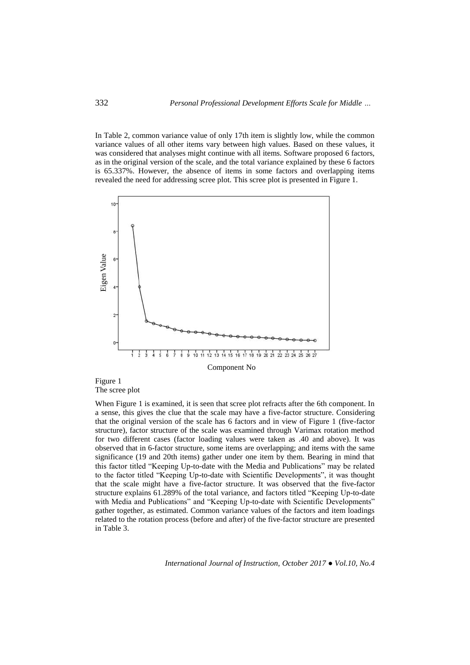In Table 2, common variance value of only 17th item is slightly low, while the common variance values of all other items vary between high values. Based on these values, it was considered that analyses might continue with all items. Software proposed 6 factors, as in the original version of the scale, and the total variance explained by these 6 factors is 65.337%. However, the absence of items in some factors and overlapping items revealed the need for addressing scree plot. This scree plot is presented in Figure 1.



Figure 1 The scree plot

When Figure 1 is examined, it is seen that scree plot refracts after the 6th component. In a sense, this gives the clue that the scale may have a five-factor structure. Considering that the original version of the scale has 6 factors and in view of Figure 1 (five-factor structure), factor structure of the scale was examined through Varimax rotation method for two different cases (factor loading values were taken as .40 and above). It was observed that in 6-factor structure, some items are overlapping; and items with the same significance (19 and 20th items) gather under one item by them. Bearing in mind that this factor titled "Keeping Up-to-date with the Media and Publications" may be related to the factor titled "Keeping Up-to-date with Scientific Developments", it was thought that the scale might have a five-factor structure. It was observed that the five-factor structure explains 61.289% of the total variance, and factors titled "Keeping Up-to-date with Media and Publications" and "Keeping Up-to-date with Scientific Developments" gather together, as estimated. Common variance values of the factors and item loadings related to the rotation process (before and after) of the five-factor structure are presented in Table 3.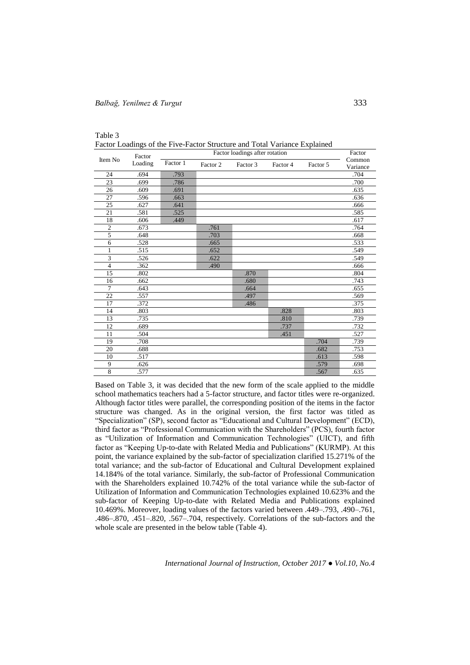| Table 3                                                                   |  |
|---------------------------------------------------------------------------|--|
| Factor Loadings of the Five-Factor Structure and Total Variance Explained |  |

|                | Factor  |          | Factor loadings after rotation |          |          |          |                    |  |  |
|----------------|---------|----------|--------------------------------|----------|----------|----------|--------------------|--|--|
| Item No        | Loading | Factor 1 | Factor 2                       | Factor 3 | Factor 4 | Factor 5 | Common<br>Variance |  |  |
| 24             | .694    | .793     |                                |          |          |          | .704               |  |  |
| 23             | .699    | .786     |                                |          |          |          | .700               |  |  |
| 26             | .609    | .691     |                                |          |          |          | .635               |  |  |
| 27             | .596    | .663     |                                |          |          |          | .636               |  |  |
| 25             | .627    | .641     |                                |          |          |          | .666               |  |  |
| 21             | .581    | .525     |                                |          |          |          | .585               |  |  |
| 18             | .606    | .449     |                                |          |          |          | .617               |  |  |
| $\overline{c}$ | .673    |          | .761                           |          |          |          | .764               |  |  |
| 5              | .648    |          | .703                           |          |          |          | .668               |  |  |
| 6              | .528    |          | .665                           |          |          |          | .533               |  |  |
| $\mathbf{1}$   | .515    |          | .652                           |          |          |          | .549               |  |  |
| $\overline{3}$ | .526    |          | .622                           |          |          |          | .549               |  |  |
| $\overline{4}$ | .362    |          | .490                           |          |          |          | .666               |  |  |
| 15             | .802    |          |                                | .870     |          |          | .804               |  |  |
| 16             | .662    |          |                                | .680     |          |          | .743               |  |  |
| $\overline{7}$ | .643    |          |                                | .664     |          |          | .655               |  |  |
| 22             | .557    |          |                                | .497     |          |          | .569               |  |  |
| 17             | .372    |          |                                | .486     |          |          | .375               |  |  |
| 14             | .803    |          |                                |          | .828     |          | .803               |  |  |
| 13             | .735    |          |                                |          | .810     |          | .739               |  |  |
| 12             | .689    |          |                                |          | .737     |          | .732               |  |  |
| 11             | .504    |          |                                |          | .451     |          | .527               |  |  |
| 19             | .708    |          |                                |          |          | .704     | .739               |  |  |
| 20             | .688    |          |                                |          |          | .682     | .753               |  |  |
| 10             | .517    |          |                                |          |          | .613     | .598               |  |  |
| 9              | .626    |          |                                |          |          | .579     | .698               |  |  |
| 8              | .577    |          |                                |          |          | .567     | .635               |  |  |

Based on Table 3, it was decided that the new form of the scale applied to the middle school mathematics teachers had a 5-factor structure, and factor titles were re-organized. Although factor titles were parallel, the corresponding position of the items in the factor structure was changed. As in the original version, the first factor was titled as "Specialization" (SP), second factor as "Educational and Cultural Development" (ECD), third factor as "Professional Communication with the Shareholders" (PCS), fourth factor as "Utilization of Information and Communication Technologies" (UICT), and fifth factor as "Keeping Up-to-date with Related Media and Publications" (KURMP). At this point, the variance explained by the sub-factor of specialization clarified 15.271% of the total variance; and the sub-factor of Educational and Cultural Development explained 14.184% of the total variance. Similarly, the sub-factor of Professional Communication with the Shareholders explained 10.742% of the total variance while the sub-factor of Utilization of Information and Communication Technologies explained 10.623% and the sub-factor of Keeping Up-to-date with Related Media and Publications explained 10.469%. Moreover, loading values of the factors varied between .449–.793, .490–.761, .486–.870, .451–.820, .567–.704, respectively. Correlations of the sub-factors and the whole scale are presented in the below table (Table 4).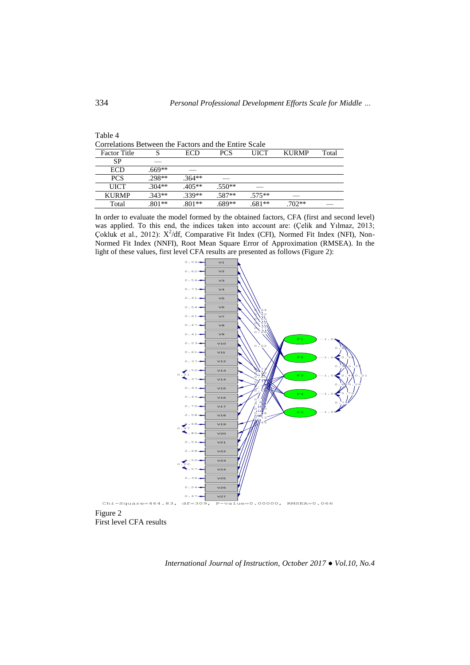| Correlations Between the Factors and the Entire Scale |          |          |            |          |              |       |  |  |
|-------------------------------------------------------|----------|----------|------------|----------|--------------|-------|--|--|
| <b>Factor Title</b>                                   |          | ECD      | <b>PCS</b> | UICT     | <b>KURMP</b> | Total |  |  |
| <b>SP</b>                                             |          |          |            |          |              |       |  |  |
| ECD                                                   | $.669**$ |          |            |          |              |       |  |  |
| <b>PCS</b>                                            | $.298**$ | $.364**$ |            |          |              |       |  |  |
| UICT                                                  | $.304**$ | $405**$  | $.550**$   |          |              |       |  |  |
| <b>KURMP</b>                                          | $.343**$ | $339**$  | $.587**$   | $.575**$ |              |       |  |  |
| Total                                                 | $801**$  | 801**    | 689**      | $.681**$ | 702**        |       |  |  |

In order to evaluate the model formed by the obtained factors, CFA (first and second level) was applied. To this end, the indices taken into account are: (Çelik and Yılmaz, 2013; Çokluk et al., 2012):  $X^2/df$ , Comparative Fit Index (CFI), Normed Fit Index (NFI), Non-Normed Fit Index (NNFI), Root Mean Square Error of Approximation (RMSEA). In the light of these values, first level CFA results are presented as follows (Figure 2):



First level CFA results

*International Journal of Instruction, October 2017 ● Vol.10, No.4*

Table 4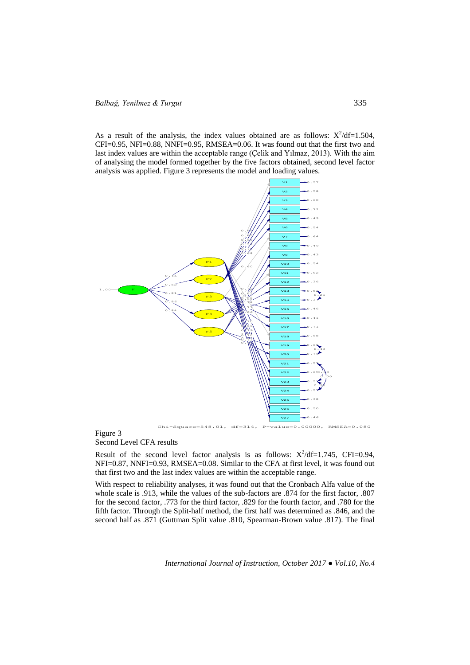As a result of the analysis, the index values obtained are as follows:  $X^2/df=1.504$ ,  $CFI=0.95$ ,  $NFI=0.88$ ,  $NNFI=0.95$ ,  $RMSEA=0.06$ . It was found out that the first two and last index values are within the acceptable range (Çelik and Yılmaz, 2013). With the aim of analysing the model formed together by the five factors obtained, second level factor analysis was applied. Figure 3 represents the model and loading values.



## Figure 3 Second Level CFA results

Result of the second level factor analysis is as follows:  $X^2/df=1.745$ , CFI=0.94, NFI=0.87, NNFI=0.93, RMSEA=0.08. Similar to the CFA at first level, it was found out that first two and the last index values are within the acceptable range.

With respect to reliability analyses, it was found out that the Cronbach Alfa value of the whole scale is .913, while the values of the sub-factors are .874 for the first factor, .807 for the second factor, .773 for the third factor, .829 for the fourth factor, and .780 for the fifth factor. Through the Split-half method, the first half was determined as .846, and the second half as .871 (Guttman Split value .810, Spearman-Brown value .817). The final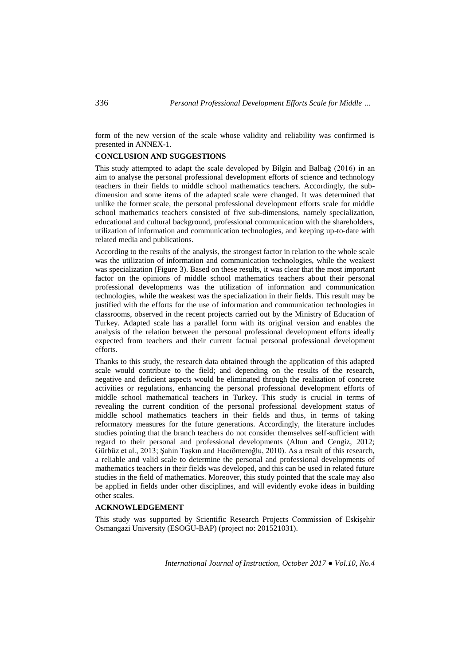form of the new version of the scale whose validity and reliability was confirmed is presented in ANNEX-1.

## **CONCLUSION AND SUGGESTIONS**

This study attempted to adapt the scale developed by Bilgin and Balbağ (2016) in an aim to analyse the personal professional development efforts of science and technology teachers in their fields to middle school mathematics teachers. Accordingly, the subdimension and some items of the adapted scale were changed. It was determined that unlike the former scale, the personal professional development efforts scale for middle school mathematics teachers consisted of five sub-dimensions, namely specialization, educational and cultural background, professional communication with the shareholders, utilization of information and communication technologies, and keeping up-to-date with related media and publications.

According to the results of the analysis, the strongest factor in relation to the whole scale was the utilization of information and communication technologies, while the weakest was specialization (Figure 3). Based on these results, it was clear that the most important factor on the opinions of middle school mathematics teachers about their personal professional developments was the utilization of information and communication technologies, while the weakest was the specialization in their fields. This result may be justified with the efforts for the use of information and communication technologies in classrooms, observed in the recent projects carried out by the Ministry of Education of Turkey. Adapted scale has a parallel form with its original version and enables the analysis of the relation between the personal professional development efforts ideally expected from teachers and their current factual personal professional development efforts.

Thanks to this study, the research data obtained through the application of this adapted scale would contribute to the field; and depending on the results of the research, negative and deficient aspects would be eliminated through the realization of concrete activities or regulations, enhancing the personal professional development efforts of middle school mathematical teachers in Turkey. This study is crucial in terms of revealing the current condition of the personal professional development status of middle school mathematics teachers in their fields and thus, in terms of taking reformatory measures for the future generations. Accordingly, the literature includes studies pointing that the branch teachers do not consider themselves self-sufficient with regard to their personal and professional developments (Altun and Cengiz, 2012; Gürbüz et al., 2013; Şahin Taşkın and Hacıömeroğlu, 2010). As a result of this research, a reliable and valid scale to determine the personal and professional developments of mathematics teachers in their fields was developed, and this can be used in related future studies in the field of mathematics. Moreover, this study pointed that the scale may also be applied in fields under other disciplines, and will evidently evoke ideas in building other scales.

### **ACKNOWLEDGEMENT**

This study was supported by Scientific Research Projects Commission of Eskişehir Osmangazi University (ESOGU-BAP) (project no: 201521031).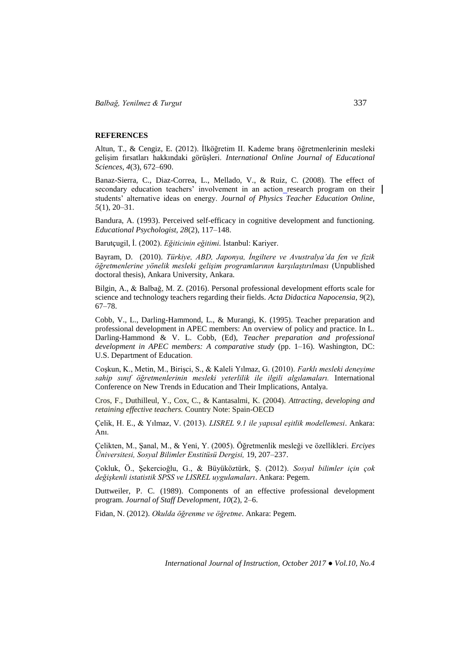*Balbağ, Yenilmez & Turgut* 337

## **REFERENCES**

Altun, T., & Cengiz, E. (2012). İlköğretim II. Kademe branş öğretmenlerinin mesleki gelişim fırsatları hakkındaki görüşleri. *International Online Journal of Educational Sciences, 4*(3), 672–690.

Banaz-Sierra, C., Diaz-Correa, L., Mellado, V., & Ruiz, C. (2008). The effect of secondary education teachers' involvement in an action research program on their students' alternative ideas on energy. *Journal of Physics Teacher Education Online, 5*(1), 20–31.

Bandura, A. (1993). Perceived self-efficacy in cognitive development and functioning. *Educational Psychologist, 28*(2), 117–148.

Barutçugil, İ. (2002). *Eğiticinin eğitimi.* İstanbul: Kariyer.

Bayram, D. (2010). *Türkiye, ABD, Japonya, İngiltere ve Avustralya'da fen ve fizik öğretmenlerine yönelik mesleki gelişim programlarının karşılaştırılması* (Unpublished doctoral thesis), Ankara University, Ankara.

Bilgin, A., & Balbağ, M. Z. (2016). Personal professional development efforts scale for science and technology teachers regarding their fields. *Acta Didactica Napocensia*, *9*(2), 67–78.

Cobb, V., L., Darling-Hammond, L., & Murangi, K. (1995). Teacher preparation and professional development in APEC members: An overview of policy and practice. In L. Darling-Hammond & V. L. Cobb, (Ed), *Teacher preparation and professional development in APEC members: A comparative study* (pp. 1–16). Washington, DC: U.S. Department of Education.

Coşkun, K., Metin, M., Birişci, S., & Kaleli Yılmaz, G. (2010). *Farklı mesleki deneyime sahip sınıf öğretmenlerinin mesleki yeterlilik ile ilgili algılamaları.* International Conference on New Trends in Education and Their Implications, Antalya.

Cros, F., Duthilleul, Y., Cox, C., & Kantasalmi, K. (2004). *Attracting, developing and retaining effective teachers.* Country Note: Spain-OECD

Çelik, H. E., & Yılmaz, V. (2013). *LISREL 9.1 ile yapısal eşitlik modellemesi*. Ankara: Anı.

Çelikten, M., Şanal, M., & Yeni, Y. (2005). Öğretmenlik mesleği ve özellikleri. *Erciyes Üniversitesi, Sosyal Bilimler Enstitüsü Dergisi,* 19, 207–237.

Çokluk, Ö., Şekercioğlu, G., & Büyüköztürk, Ş. (2012). *Sosyal bilimler için çok değişkenli istatistik SPSS ve LISREL uygulamaları*. Ankara: Pegem.

Duttweiler, P. C. (1989). Components of an effective professional development program. *Journal of Staff Development, 10*(2), 2–6.

Fidan, N. (2012). *Okulda öğrenme ve öğretme*. Ankara: Pegem.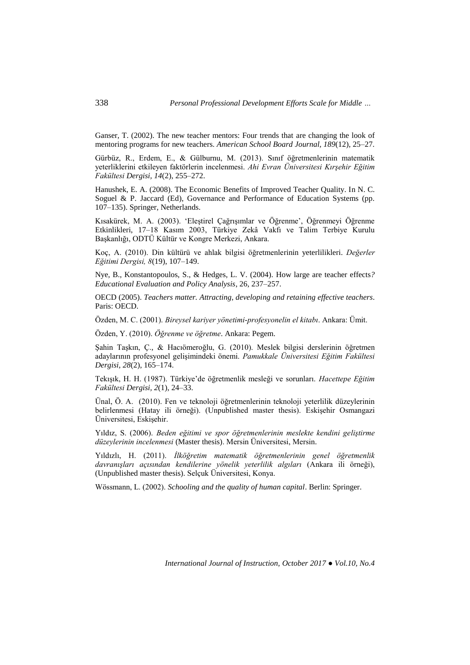Ganser, T. (2002). The new teacher mentors: Four trends that are changing the look of mentoring programs for new teachers. *American School Board Journal, 189*(12), 25–27.

Gürbüz, R., Erdem, E., & Gülburnu, M. (2013). Sınıf öğretmenlerinin matematik yeterliklerini etkileyen faktörlerin incelenmesi. *Ahi Evran Üniversitesi Kırşehir Eğitim Fakültesi Dergisi, 14*(2), 255–272.

Hanushek, E. A. (2008). The Economic Benefits of Improved Teacher Quality. In N. C. Soguel & P. Jaccard (Ed), Governance and Performance of Education Systems (pp. 107–135). Springer, Netherlands.

Kısakürek, M. A. (2003). 'Eleştirel Çağrışımlar ve Öğrenme', Öğrenmeyi Öğrenme Etkinlikleri, 17–18 Kasım 2003, Türkiye Zekâ Vakfı ve Talim Terbiye Kurulu Başkanlığı, ODTÜ Kültür ve Kongre Merkezi, Ankara.

Koç, A. (2010). Din kültürü ve ahlak bilgisi öğretmenlerinin yeterlilikleri. *Değerler Eğitimi Dergisi, 8*(19), 107–149.

Nye, B., Konstantopoulos, S., & Hedges, L. V. (2004). How large are teacher effects*? Educational Evaluation and Policy Analysis*, 26, 237–257.

OECD (2005). *Teachers matter. Attracting, developing and retaining effective teachers*. Paris: OECD.

Özden, M. C. (2001). *Bireysel kariyer yönetimi-profesyonelin el kitabı*. Ankara: Ümit.

Özden, Y. (2010). *Öğrenme ve öğretme*. Ankara: Pegem.

Şahin Taşkın, Ç., & Hacıömeroğlu, G. (2010). Meslek bilgisi derslerinin öğretmen adaylarının profesyonel gelişimindeki önemi. *Pamukkale Üniversitesi Eğitim Fakültesi Dergisi, 28*(2), 165–174.

Tekışık, H. H. (1987). Türkiye'de öğretmenlik mesleği ve sorunları. *Hacettepe Eğitim Fakültesi Dergisi, 2*(1), 24–33.

Ünal, Ö. A. (2010). Fen ve teknoloji öğretmenlerinin teknoloji yeterlilik düzeylerinin belirlenmesi (Hatay ili örneği). (Unpublished master thesis). Eskişehir Osmangazi Üniversitesi, Eskişehir.

Yıldız, S. (2006). *Beden eğitimi ve spor öğretmenlerinin meslekte kendini geliştirme düzeylerinin incelenmesi* (Master thesis). Mersin Üniversitesi, Mersin.

Yıldızlı, H. (2011). *İlköğretim matematik öğretmenlerinin genel öğretmenlik davranışları açısından kendilerine yönelik yeterlilik algıları* (Ankara ili örneği), (Unpublished master thesis). Selçuk Üniversitesi, Konya.

Wössmann, L. (2002). *Schooling and the quality of human capital*. Berlin: Springer.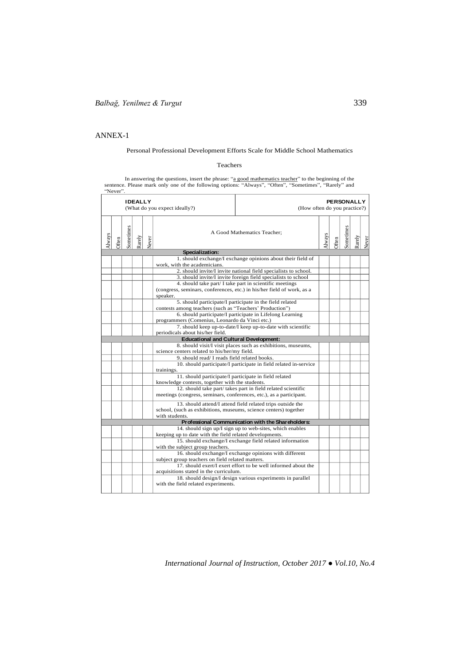#### ANNEX-1 ANNEX-1

# Personal Professional Development Efforts Scale for Middle School Mathematics

## Teachers

In answering the questions, insert the phrase: "<u>a good mathematics teacher</u>" to the beginning of the sentence. Please mark only one of the following options: "Always", "Often", "Sometimes", "Rarely" and "Never".

|        |              |           | <b>IDEALLY</b> |       | <b>PERSONALLY</b><br>(What do you expect ideally?)<br>(How often do you practice?)                       |                                                                                                               |  |  |  |        |       |
|--------|--------------|-----------|----------------|-------|----------------------------------------------------------------------------------------------------------|---------------------------------------------------------------------------------------------------------------|--|--|--|--------|-------|
| Always | <b>Often</b> | Sometimes | Rarely         | Vever |                                                                                                          | A Good Mathematics Teacher;<br><b>Nways</b><br><b>Often</b>                                                   |  |  |  | tarely | Never |
|        |              |           |                |       | Specialization:                                                                                          |                                                                                                               |  |  |  |        |       |
|        |              |           |                |       |                                                                                                          | 1. should exchange/I exchange opinions about their field of                                                   |  |  |  |        |       |
|        |              |           |                |       | work, with the academicians.                                                                             |                                                                                                               |  |  |  |        |       |
|        |              |           |                |       |                                                                                                          | 2. should invite/I invite national field specialists to school.                                               |  |  |  |        |       |
|        |              |           |                |       |                                                                                                          | 3. should invite/I invite foreign field specialists to school                                                 |  |  |  |        |       |
|        |              |           |                |       |                                                                                                          | 4. should take part/ I take part in scientific meetings                                                       |  |  |  |        |       |
|        |              |           |                |       | (congress, seminars, conferences, etc.) in his/her field of work, as a                                   |                                                                                                               |  |  |  |        |       |
|        |              |           |                |       | speaker.                                                                                                 | 5. should participate/I participate in the field related                                                      |  |  |  |        |       |
|        |              |           |                |       | contests among teachers (such as "Teachers' Production")                                                 |                                                                                                               |  |  |  |        |       |
|        |              |           |                |       |                                                                                                          | 6. should participate/I participate in Lifelong Learning                                                      |  |  |  |        |       |
|        |              |           |                |       | programmers (Comenius, Leonardo da Vinci etc.)                                                           |                                                                                                               |  |  |  |        |       |
|        |              |           |                |       |                                                                                                          | 7. should keep up-to-date/I keep up-to-date with scientific                                                   |  |  |  |        |       |
|        |              |           |                |       | periodicals about his/her field.                                                                         |                                                                                                               |  |  |  |        |       |
|        |              |           |                |       | <b>Educational and Cultural Development:</b>                                                             |                                                                                                               |  |  |  |        |       |
|        |              |           |                |       |                                                                                                          | 8. should visit/I visit places such as exhibitions, museums,                                                  |  |  |  |        |       |
|        |              |           |                |       | science centers related to his/her/my field.                                                             |                                                                                                               |  |  |  |        |       |
|        |              |           |                |       | 9. should read/ I reads field related books.                                                             |                                                                                                               |  |  |  |        |       |
|        |              |           |                |       |                                                                                                          | 10. should participate/I participate in field related in-service                                              |  |  |  |        |       |
|        |              |           |                |       | trainings.                                                                                               |                                                                                                               |  |  |  |        |       |
|        |              |           |                |       | 11. should participate/I participate in field related<br>knowledge contests, together with the students. |                                                                                                               |  |  |  |        |       |
|        |              |           |                |       |                                                                                                          | 12. should take part/takes part in field related scientific                                                   |  |  |  |        |       |
|        |              |           |                |       | meetings (congress, seminars, conferences, etc.), as a participant.                                      |                                                                                                               |  |  |  |        |       |
|        |              |           |                |       |                                                                                                          | 13. should attend/I attend field related trips outside the                                                    |  |  |  |        |       |
|        |              |           |                |       | school, (such as exhibitions, museums, science centers) together                                         |                                                                                                               |  |  |  |        |       |
|        |              |           |                |       | with students.                                                                                           |                                                                                                               |  |  |  |        |       |
|        |              |           |                |       |                                                                                                          | Professional Communication with the Shareholders:<br>14. should sign up/I sign up to web-sites, which enables |  |  |  |        |       |
|        |              |           |                |       | keeping up to date with the field related developments.                                                  |                                                                                                               |  |  |  |        |       |
|        |              |           |                |       |                                                                                                          | 15. should exchange/I exchange field related information                                                      |  |  |  |        |       |
|        |              |           |                |       | with the subject group teachers.                                                                         |                                                                                                               |  |  |  |        |       |
|        |              |           |                |       |                                                                                                          | 16. should exchange/I exchange opinions with different                                                        |  |  |  |        |       |
|        |              |           |                |       | subject group teachers on field related matters.                                                         |                                                                                                               |  |  |  |        |       |
|        |              |           |                |       |                                                                                                          | 17. should exert/I exert effort to be well informed about the                                                 |  |  |  |        |       |
|        |              |           |                |       | acquisitions stated in the curriculum.                                                                   |                                                                                                               |  |  |  |        |       |
|        |              |           |                |       |                                                                                                          | 18. should design/I design various experiments in parallel                                                    |  |  |  |        |       |
|        |              |           |                |       | with the field related experiments.                                                                      |                                                                                                               |  |  |  |        |       |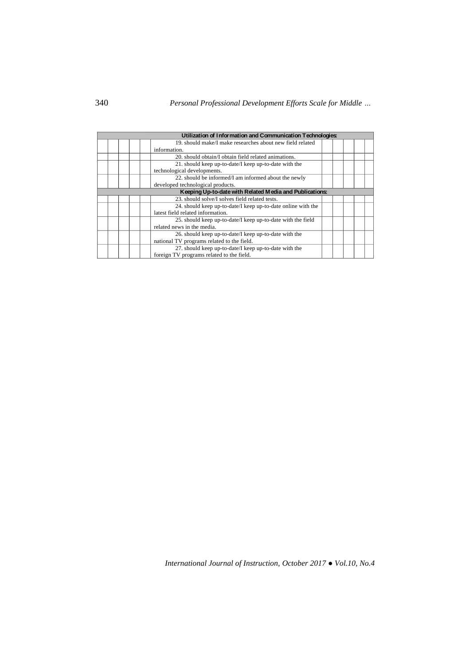|  | Utilization of Information and Communication Technologies:   |  |  |  |
|--|--------------------------------------------------------------|--|--|--|
|  | 19. should make/I make researches about new field related    |  |  |  |
|  | information.                                                 |  |  |  |
|  | 20. should obtain/I obtain field related animations.         |  |  |  |
|  | 21. should keep up-to-date/I keep up-to-date with the        |  |  |  |
|  | technological developments.                                  |  |  |  |
|  | 22. should be informed/I am informed about the newly         |  |  |  |
|  | developed technological products.                            |  |  |  |
|  | Keeping Up-to-date with Related Media and Publications:      |  |  |  |
|  | 23. should solve/I solves field related tests.               |  |  |  |
|  | 24. should keep up-to-date/I keep up-to-date online with the |  |  |  |
|  | latest field related information.                            |  |  |  |
|  | 25. should keep up-to-date/I keep up-to-date with the field  |  |  |  |
|  | related news in the media.                                   |  |  |  |
|  | 26. should keep up-to-date/I keep up-to-date with the        |  |  |  |
|  | national TV programs related to the field.                   |  |  |  |
|  | 27. should keep up-to-date/I keep up-to-date with the        |  |  |  |
|  | foreign TV programs related to the field.                    |  |  |  |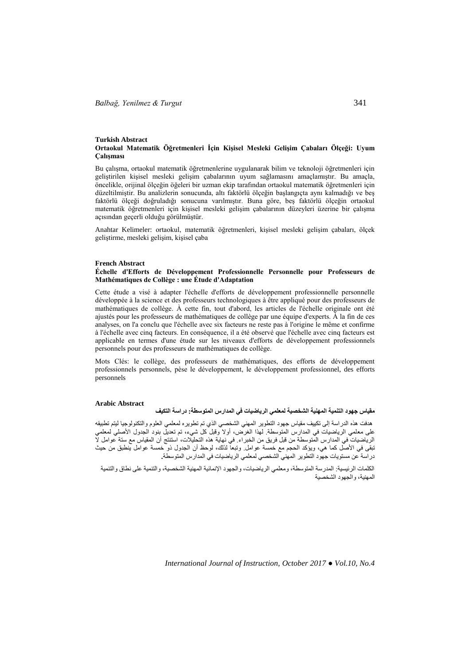#### **Turkish Abstract Ortaokul Matematik Öğretmenleri İçin Kişisel Mesleki Gelişim Çabaları Ölçeği: Uyum Çalışması**

Bu çalışma, ortaokul matematik öğretmenlerine uygulanarak bilim ve teknoloji öğretmenleri için geliştirilen kişisel mesleki gelişim çabalarının uyum sağlamasını amaçlamıştır. Bu amaçla, öncelikle, orijinal ölçeğin öğeleri bir uzman ekip tarafından ortaokul matematik öğretmenleri için düzeltilmiştir. Bu analizlerin sonucunda, altı faktörlü ölçeğin başlangıçta aynı kalmadığı ve beş faktörlü ölçeği doğruladığı sonucuna varılmıştır. Buna göre, beş faktörlü ölçeğin ortaokul matematik öğretmenleri için kişisel mesleki gelişim çabalarının düzeyleri üzerine bir çalışma açısından geçerli olduğu görülmüştür.

Anahtar Kelimeler: ortaokul, matematik öğretmenleri, kişisel mesleki gelişim çabaları, ölçek geliştirme, mesleki gelişim, kişisel çaba

#### **French Abstract**

### **Échelle d'Efforts de Développement Professionnelle Personnelle pour Professeurs de Mathématiques de Collège : une Étude d'Adaptation**

Cette étude a visé à adapter l'échelle d'efforts de développement professionnelle personnelle développée à la science et des professeurs technologiques à être appliqué pour des professeurs de mathématiques de collège. À cette fin, tout d'abord, les articles de l'échelle originale ont été ajustés pour les professeurs de mathématiques de collège par une équipe d'experts. À la fin de ces analyses, on l'a conclu que l'échelle avec six facteurs ne reste pas à l'origine le même et confirme à l'échelle avec cinq facteurs. En conséquence, il a été observé que l'échelle avec cinq facteurs est applicable en termes d'une étude sur les niveaux d'efforts de développement professionnels personnels pour des professeurs de mathématiques de collège.

Mots Clés: le collège, des professeurs de mathématiques, des efforts de développement professionnels personnels, pèse le développement, le développement professionnel, des efforts personnels

#### **Arabic Abstract**

# **مقياس جهود التنمية المهنية الشخصية لمعلمي الرياضيات في المدارس المتوسطة: دراسة التكيف**

هدفت هذه الدراسة إلى تكييف مقياس جهود التطوير المهني الشخصي الذي تم تطويره لمعلمي العلوم والتكنولوجيا ليتم تطبيقه على معلمي الرياضيات في المدارس المتوسطة. لهذا الغرض، أوال وقبل كل شيء، تم تعديل بنود الجدول األصلي لمعلمي الرياضيات في المدارس المتوسطة من قبل فريق من الخبراء. في نهاية هذه التحليالت، استنتج أن المقياس مع ستة عوامل ال تبقى في األصل كما هي، ويؤكد الحجم مع خمسة عوامل. وتبعا لذلك، لوحظ أن الجدول ذو خمسة عوامل ينطبق من حيث دراسة عن مستويات جهود التطوير المهني الشخصي لمعلمي الرياضيات في المدارس المتوسطة**.**

الكلمات الرئيسية: المدرسة المتوسطة، ومعلمي الرياضيات، والجهود اإلنمائية المهنية الشخصية، والتنمية على نطاق والتنمية المهنية، والجهود الشخصية